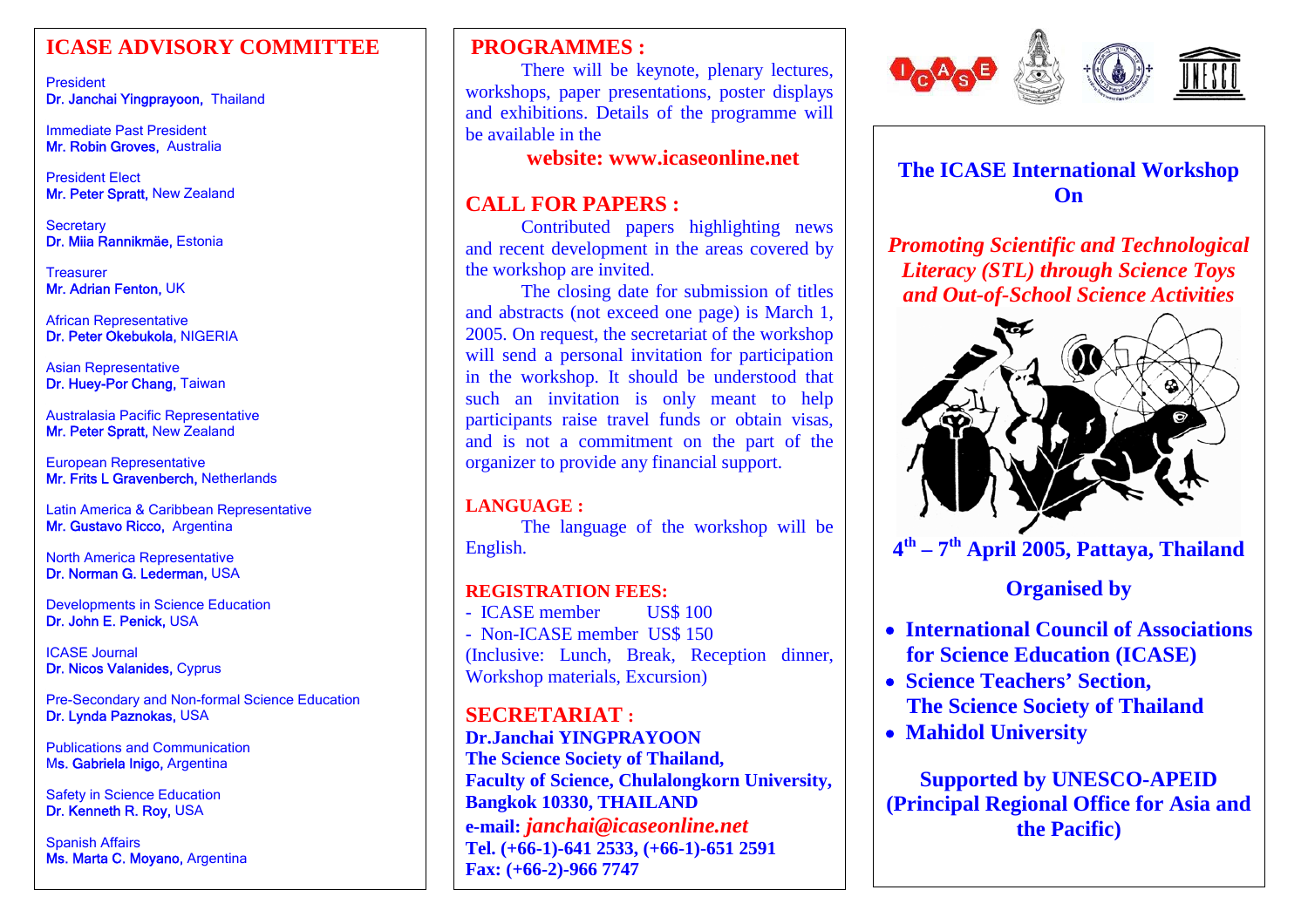#### **ICASE ADVISORY COMMITTEE**

President Dr. Janchai Yingprayoon, Thailand

Immediate Past President Mr. Robin Groves, Australia

President Elect Mr. Peter Spratt, New Zealand

**Secretary** Dr. Miia Rannikmäe, Estonia

**Treasurer** Mr. Adrian Fenton, UK

African Representative Dr. Peter Okebukola, NIGERIA

Asian Representative Dr. Huey-Por Chang, Taiwan

Australasia Pacific Representative **Mr. Peter Spratt,** New Zealand

European Representative **Mr. Frits L Gravenberch, N**etherlands

Latin America & Caribbean Representative Mr. Gustavo Ricco, Argentina

North America Representative Dr. Norman G. Lederman, USA

Developments in Science Education Dr. John E. Penick, USA

ICASE Journal **Dr. Nicos Valanides,** Cyprus

Pre-Secondary and Non-formal Science Education Dr. Lynda Paznokas, USA

Publications and Communication Ms. Gabriela Inigo, Argentina

 Safety in Science Education Dr. Kenneth R. Roy, USA

Spanish Affairs Ms. Marta C. Moyano, Argentina

#### **PROGRAMMES :**

There will be keynote, ple nary le ctures, workshops, paper presentations, poster displays and exhibitions. Details of the programme will be available in the

 **website: www.icaseonline.net**

#### **CALL FOR PAPERS :**

Contributed papers hig hlighting news and recent development in t he areas covered b y the workshop are invited.

The closing date for submission of titles and abstracts (not exceed one pag e) is March 1, 2005. On request, the secretariat of the workshop will send a personal invitation for participatio n in the workshop. It should be understood that such an invitation is only meant to help participants raise travel funds or obtain visas, and is not a commitment on the part of the org aniz er to provide any financial support.

#### **LANGUAGE :**

The languag e of the workshop will be English.

#### **REGISTRATION FEES:**

- ICASE member US\$ 100 - Non-ICASE member US\$ 150 (Incl usive: Lunch, Break, Reception dinner, Workshop materials, Excursion)

**SECRETARIAT :Dr.Janchai YINGPRAYOON The Science Society of Thailand, Faculty of Science, Chulalongkorn University, Bangkok 10330, THAILAND e-m ail:** *janchai@icaseonline.net* **Tel. (+66-1)-641 2533, (+66-1)-651 2591 Fax: (+66-2)-966 7747**



**The ICASE International Workshop On**

*Promoting Scientific and Technological Literacy (STL) through Science Toys and Out-of-School Science Activities* 



**4th – 7th A pril 2005, P attaya, Thailand** 

### **Organised by**

- • **International Council of Associations for Science Education (ICASE)**
- • **Science Teachers' Section, The Science Society of Thailand**
- • **Mahidol U niversity**

**Supported by UNESCO-APEID (Principal R egional Office for A sia and the Pacific)**